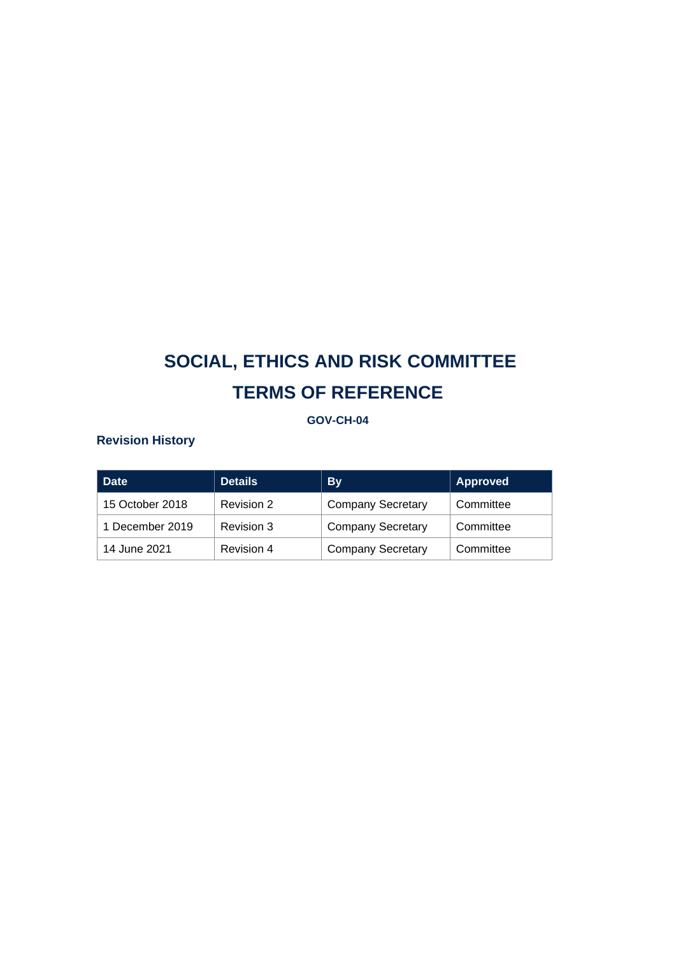## **GOV-CH-04**

# **Revision History**

| <b>Date</b>     | <b>Details</b> | <b>By</b>                | <b>Approved</b> |
|-----------------|----------------|--------------------------|-----------------|
| 15 October 2018 | Revision 2     | <b>Company Secretary</b> | Committee       |
| 1 December 2019 | Revision 3     | <b>Company Secretary</b> | Committee       |
| 14 June 2021    | Revision 4     | <b>Company Secretary</b> | Committee       |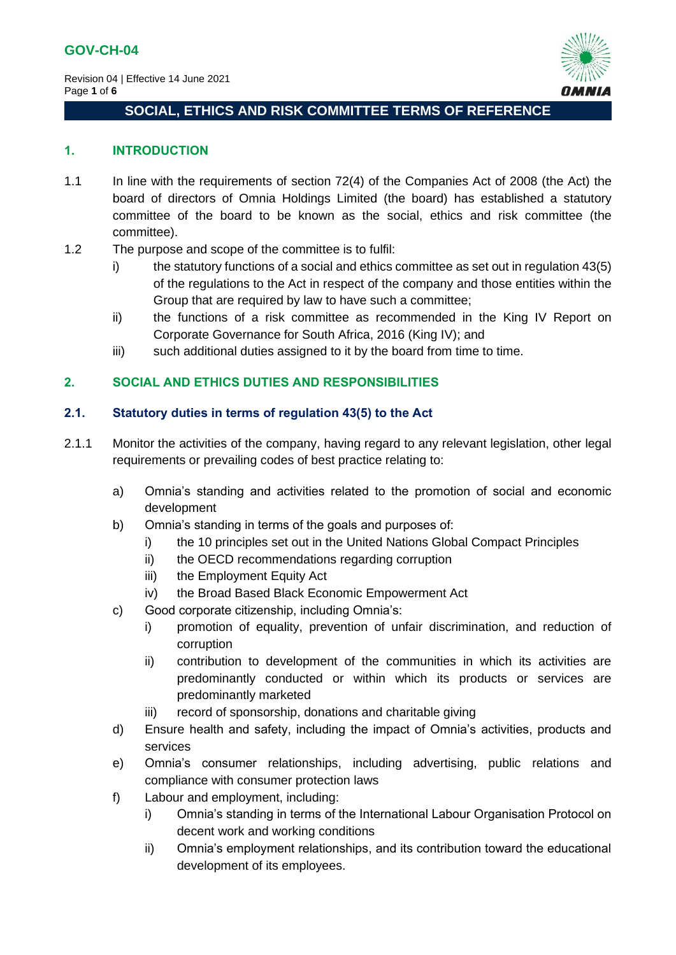

### **1. INTRODUCTION**

- 1.1 In line with the requirements of section 72(4) of the Companies Act of 2008 (the Act) the board of directors of Omnia Holdings Limited (the board) has established a statutory committee of the board to be known as the social, ethics and risk committee (the committee).
- 1.2 The purpose and scope of the committee is to fulfil:
	- i) the statutory functions of a social and ethics committee as set out in regulation 43(5) of the regulations to the Act in respect of the company and those entities within the Group that are required by law to have such a committee;
	- ii) the functions of a risk committee as recommended in the King IV Report on Corporate Governance for South Africa, 2016 (King IV); and
	- iii) such additional duties assigned to it by the board from time to time.

## **2. SOCIAL AND ETHICS DUTIES AND RESPONSIBILITIES**

## **2.1. Statutory duties in terms of regulation 43(5) to the Act**

- 2.1.1 Monitor the activities of the company, having regard to any relevant legislation, other legal requirements or prevailing codes of best practice relating to:
	- a) Omnia's standing and activities related to the promotion of social and economic development
	- b) Omnia's standing in terms of the goals and purposes of:
		- i) the 10 principles set out in the United Nations Global Compact Principles
		- ii) the OECD recommendations regarding corruption
		- iii) the Employment Equity Act
		- iv) the Broad Based Black Economic Empowerment Act
	- c) Good corporate citizenship, including Omnia's:
		- i) promotion of equality, prevention of unfair discrimination, and reduction of corruption
		- ii) contribution to development of the communities in which its activities are predominantly conducted or within which its products or services are predominantly marketed
		- iii) record of sponsorship, donations and charitable giving
	- d) Ensure health and safety, including the impact of Omnia's activities, products and services
	- e) Omnia's consumer relationships, including advertising, public relations and compliance with consumer protection laws
	- f) Labour and employment, including:
		- i) Omnia's standing in terms of the International Labour Organisation Protocol on decent work and working conditions
		- ii) Omnia's employment relationships, and its contribution toward the educational development of its employees.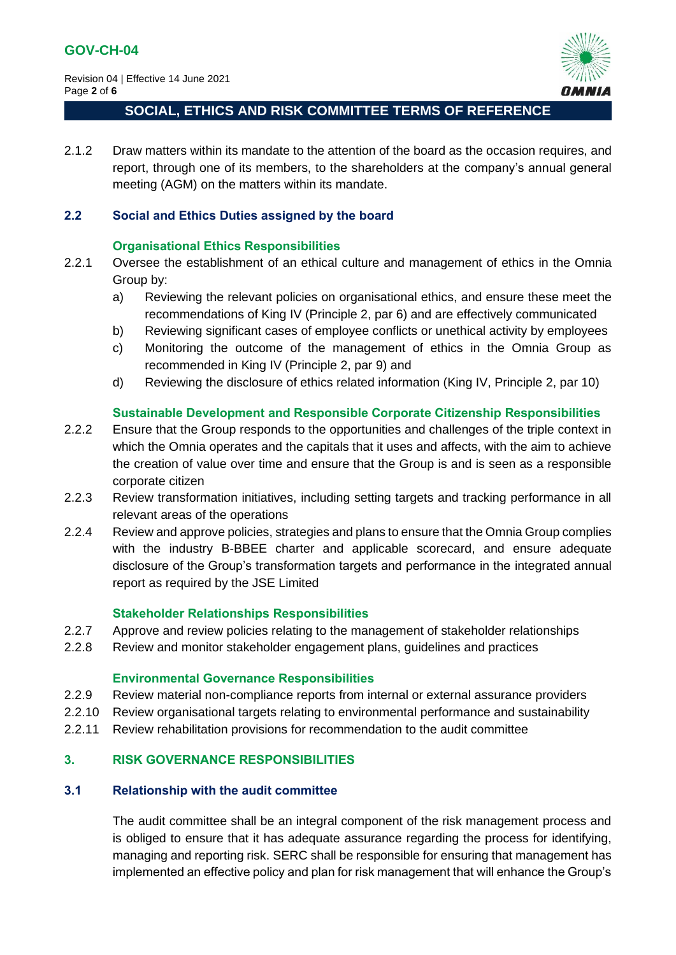Revision 04 | Effective 14 June 2021 Page **2** of **6**



## **SOCIAL, ETHICS AND RISK COMMITTEE TERMS OF REFERENCE**

2.1.2 Draw matters within its mandate to the attention of the board as the occasion requires, and report, through one of its members, to the shareholders at the company's annual general meeting (AGM) on the matters within its mandate.

#### **2.2 Social and Ethics Duties assigned by the board**

#### **Organisational Ethics Responsibilities**

- 2.2.1 Oversee the establishment of an ethical culture and management of ethics in the Omnia Group by:
	- a) Reviewing the relevant policies on organisational ethics, and ensure these meet the recommendations of King IV (Principle 2, par 6) and are effectively communicated
	- b) Reviewing significant cases of employee conflicts or unethical activity by employees
	- c) Monitoring the outcome of the management of ethics in the Omnia Group as recommended in King IV (Principle 2, par 9) and
	- d) Reviewing the disclosure of ethics related information (King IV, Principle 2, par 10)

## **Sustainable Development and Responsible Corporate Citizenship Responsibilities**

- 2.2.2 Ensure that the Group responds to the opportunities and challenges of the triple context in which the Omnia operates and the capitals that it uses and affects, with the aim to achieve the creation of value over time and ensure that the Group is and is seen as a responsible corporate citizen
- 2.2.3 Review transformation initiatives, including setting targets and tracking performance in all relevant areas of the operations
- 2.2.4 Review and approve policies, strategies and plans to ensure that the Omnia Group complies with the industry B-BBEE charter and applicable scorecard, and ensure adequate disclosure of the Group's transformation targets and performance in the integrated annual report as required by the JSE Limited

## **Stakeholder Relationships Responsibilities**

- 2.2.7 Approve and review policies relating to the management of stakeholder relationships
- 2.2.8 Review and monitor stakeholder engagement plans, guidelines and practices

#### **Environmental Governance Responsibilities**

- 2.2.9 Review material non-compliance reports from internal or external assurance providers
- 2.2.10 Review organisational targets relating to environmental performance and sustainability
- 2.2.11 Review rehabilitation provisions for recommendation to the audit committee

## **3. RISK GOVERNANCE RESPONSIBILITIES**

### **3.1 Relationship with the audit committee**

The audit committee shall be an integral component of the risk management process and is obliged to ensure that it has adequate assurance regarding the process for identifying, managing and reporting risk. SERC shall be responsible for ensuring that management has implemented an effective policy and plan for risk management that will enhance the Group's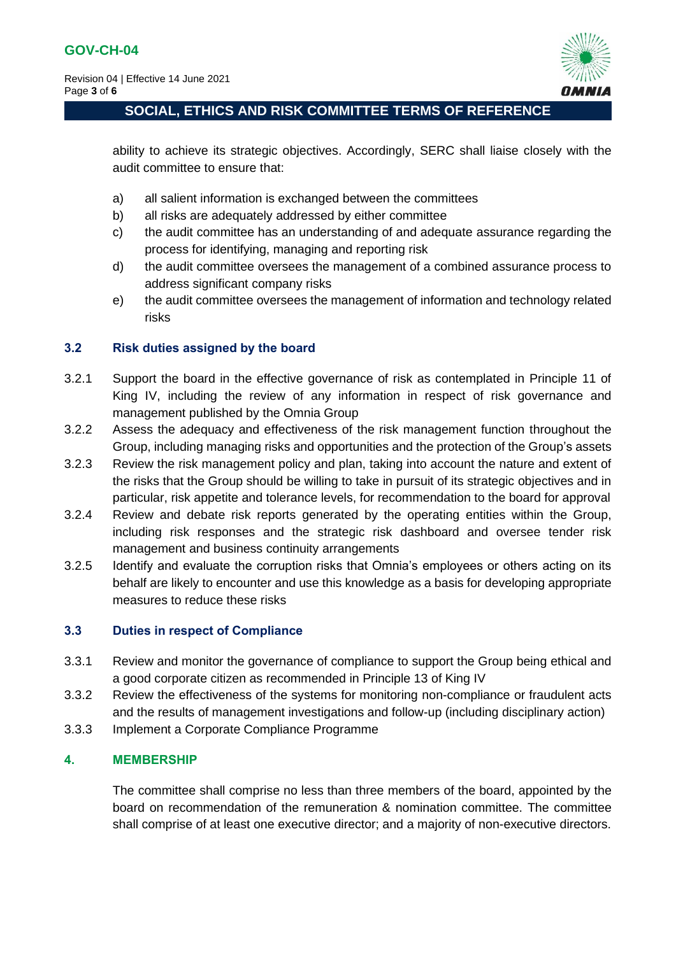

ability to achieve its strategic objectives. Accordingly, SERC shall liaise closely with the audit committee to ensure that:

- a) all salient information is exchanged between the committees
- b) all risks are adequately addressed by either committee
- c) the audit committee has an understanding of and adequate assurance regarding the process for identifying, managing and reporting risk
- d) the audit committee oversees the management of a combined assurance process to address significant company risks
- e) the audit committee oversees the management of information and technology related risks

## **3.2 Risk duties assigned by the board**

- 3.2.1 Support the board in the effective governance of risk as contemplated in Principle 11 of King IV, including the review of any information in respect of risk governance and management published by the Omnia Group
- 3.2.2 Assess the adequacy and effectiveness of the risk management function throughout the Group, including managing risks and opportunities and the protection of the Group's assets
- 3.2.3 Review the risk management policy and plan, taking into account the nature and extent of the risks that the Group should be willing to take in pursuit of its strategic objectives and in particular, risk appetite and tolerance levels, for recommendation to the board for approval
- 3.2.4 Review and debate risk reports generated by the operating entities within the Group, including risk responses and the strategic risk dashboard and oversee tender risk management and business continuity arrangements
- 3.2.5 Identify and evaluate the corruption risks that Omnia's employees or others acting on its behalf are likely to encounter and use this knowledge as a basis for developing appropriate measures to reduce these risks

# **3.3 Duties in respect of Compliance**

- 3.3.1 Review and monitor the governance of compliance to support the Group being ethical and a good corporate citizen as recommended in Principle 13 of King IV
- 3.3.2 Review the effectiveness of the systems for monitoring non-compliance or fraudulent acts and the results of management investigations and follow-up (including disciplinary action)
- 3.3.3 Implement a Corporate Compliance Programme

## **4. MEMBERSHIP**

The committee shall comprise no less than three members of the board, appointed by the board on recommendation of the remuneration & nomination committee. The committee shall comprise of at least one executive director; and a majority of non-executive directors.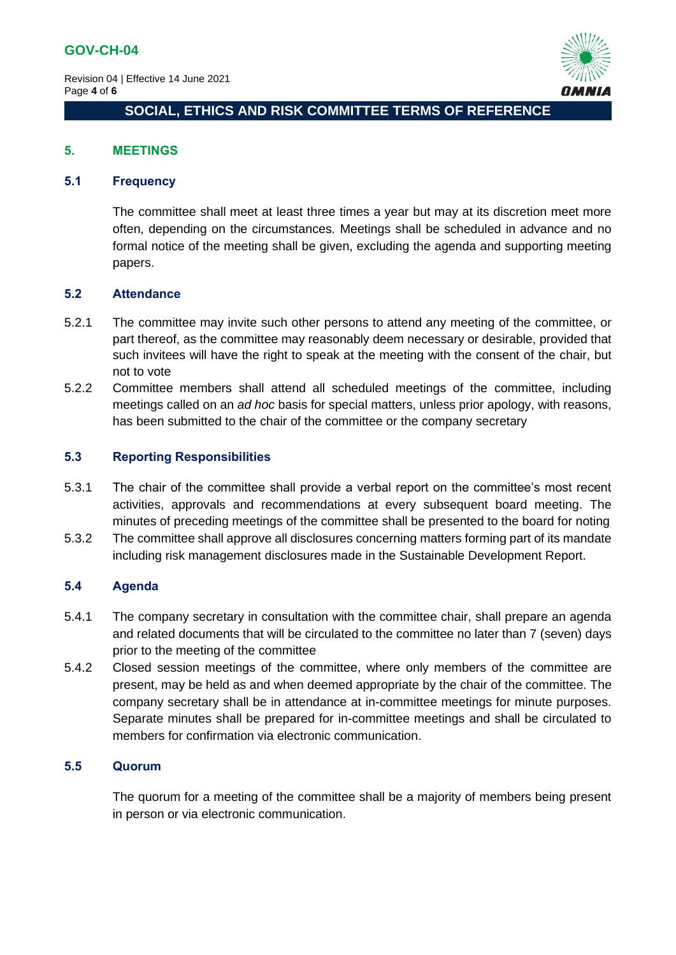

## **5. MEETINGS**

## **5.1 Frequency**

The committee shall meet at least three times a year but may at its discretion meet more often, depending on the circumstances. Meetings shall be scheduled in advance and no formal notice of the meeting shall be given, excluding the agenda and supporting meeting papers.

#### **5.2 Attendance**

- 5.2.1 The committee may invite such other persons to attend any meeting of the committee, or part thereof, as the committee may reasonably deem necessary or desirable, provided that such invitees will have the right to speak at the meeting with the consent of the chair, but not to vote
- 5.2.2 Committee members shall attend all scheduled meetings of the committee, including meetings called on an *ad hoc* basis for special matters, unless prior apology, with reasons, has been submitted to the chair of the committee or the company secretary

## **5.3 Reporting Responsibilities**

- 5.3.1 The chair of the committee shall provide a verbal report on the committee's most recent activities, approvals and recommendations at every subsequent board meeting. The minutes of preceding meetings of the committee shall be presented to the board for noting
- 5.3.2 The committee shall approve all disclosures concerning matters forming part of its mandate including risk management disclosures made in the Sustainable Development Report.

## **5.4 Agenda**

- 5.4.1 The company secretary in consultation with the committee chair, shall prepare an agenda and related documents that will be circulated to the committee no later than 7 (seven) days prior to the meeting of the committee
- 5.4.2 Closed session meetings of the committee, where only members of the committee are present, may be held as and when deemed appropriate by the chair of the committee. The company secretary shall be in attendance at in-committee meetings for minute purposes. Separate minutes shall be prepared for in-committee meetings and shall be circulated to members for confirmation via electronic communication.

# **5.5 Quorum**

The quorum for a meeting of the committee shall be a majority of members being present in person or via electronic communication.